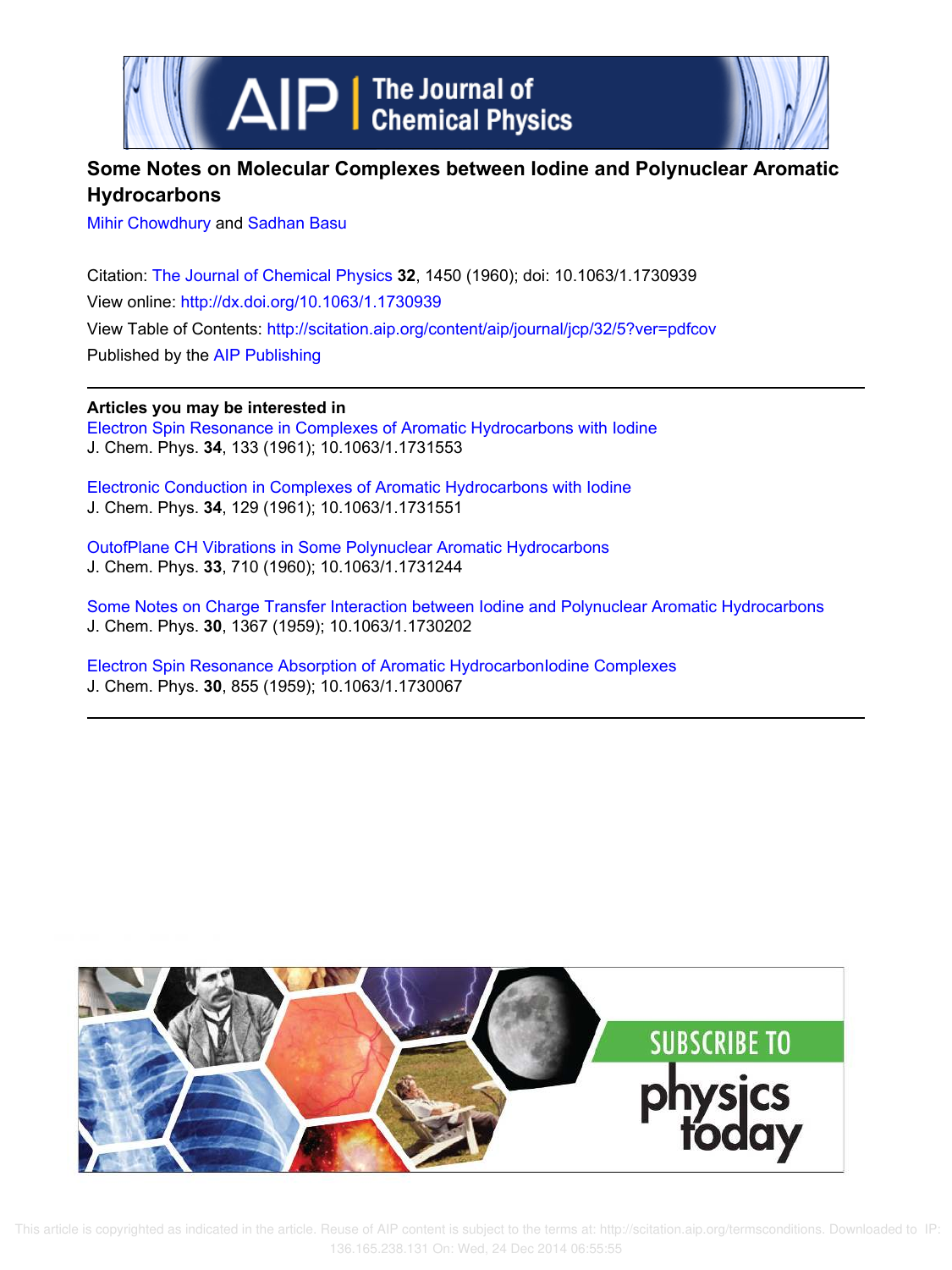



# **Some Notes on Molecular Complexes between Iodine and Polynuclear Aromatic Hydrocarbons**

Mihir Chowdhury and Sadhan Basu

Citation: The Journal of Chemical Physics **32**, 1450 (1960); doi: 10.1063/1.1730939 View online: http://dx.doi.org/10.1063/1.1730939 View Table of Contents: http://scitation.aip.org/content/aip/journal/jcp/32/5?ver=pdfcov Published by the AIP Publishing

**Articles you may be interested in**

Electron Spin Resonance in Complexes of Aromatic Hydrocarbons with Iodine J. Chem. Phys. **34**, 133 (1961); 10.1063/1.1731553

Electronic Conduction in Complexes of Aromatic Hydrocarbons with Iodine J. Chem. Phys. **34**, 129 (1961); 10.1063/1.1731551

OutofPlane CH Vibrations in Some Polynuclear Aromatic Hydrocarbons J. Chem. Phys. **33**, 710 (1960); 10.1063/1.1731244

Some Notes on Charge Transfer Interaction between Iodine and Polynuclear Aromatic Hydrocarbons J. Chem. Phys. **30**, 1367 (1959); 10.1063/1.1730202

Electron Spin Resonance Absorption of Aromatic HydrocarbonIodine Complexes J. Chem. Phys. **30**, 855 (1959); 10.1063/1.1730067



 This article is copyrighted as indicated in the article. Reuse of AIP content is subject to the terms at: http://scitation.aip.org/termsconditions. Downloaded to IP: 136.165.238.131 On: Wed, 24 Dec 2014 06:55:55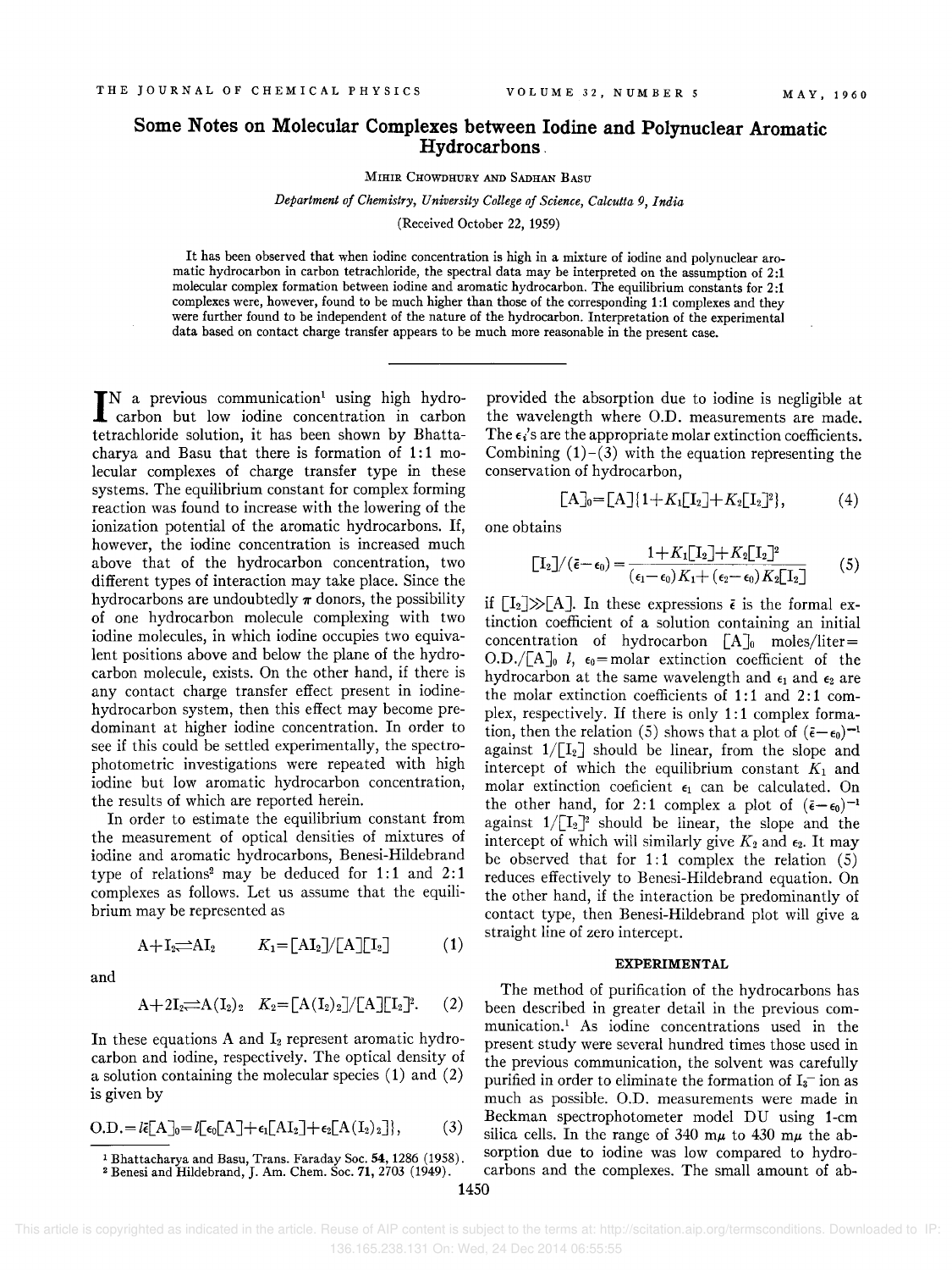## **Some Notes on Molecular Complexes between Iodine and Polynuclear Aromatic Hydrocarbons.**

MIHIR CHOWDHURY AND SADHAN BASU

*Department of Chemistry, University College of Science, Calcutta* 9, *India* 

(Received October 22, 1959)

It has been observed that when iodine concentration is high in a mixture of iodine and polynuclear aromatic hydrocarbon in carbon tetrachloride, the spectral data may be interpreted on the assumption of 2:1 molecular complex formation between iodine and aromatic hydrocarbon. The equilibrium constants for 2:1 complexes were, however, found to be much higher than those of the corresponding 1:1 complexes and they were further found to be independent of the nature of the hydrocarbon. Interpretation of the experimental data based on contact charge transfer appears to be much more reasonable in the present case.

IN a previous communication<sup>1</sup> using high hydro-<br>carbon but low iodine concentration in carbon carbon but low iodine concentration in carbon tetrachloride solution, it has been shown by Bhattacharya and Basu that there is formation of  $1:1$  molecular complexes of charge transfer type in these systems. The equilibrium constant for complex forming reaction was found to increase with the lowering of the ionization potential of the aromatic hydrocarbons. If, however, the iodine concentration is increased much above that of the hydrocarbon concentration, two different types of interaction may take place. Since the hydrocarbons are undoubtedly  $\pi$  donors, the possibility of one hydrocarbon molecule complexing with two iodine molecules, in which iodine occupies two equivalent positions above and below the plane of the hydrocarbon molecule, exists. On the other hand, if there is any contact charge transfer effect present in iodinehydrocarbon system, then this effect may become predominant at higher iodine concentration. In order to see if this could be settled experimentally, the spectrophotometric investigations were repeated with high iodine but low aromatic hydrocarbon concentration, the results of which are reported herein.

In order to estimate the equilibrium constant from the measurement of optical densities of mixtures of iodine and aromatic hydrocarbons, Benesi-Hildebrand type of relations<sup>2</sup> may be deduced for  $1:1$  and  $2:1$ complexes as follows. Let us assume that the equilibrium may be represented as

$$
A + I_2 \longrightarrow A I_2 \qquad K_1 = [A I_2] / [A][I_2] \qquad (1)
$$

and

$$
A+2I_2 \implies A(I_2)_2
$$
  $K_2 = [A(I_2)_2]/[A][I_2]^2$ . (2)

In these equations A and  $I_2$  represent aromatic hydrocarbon and iodine, respectively. The optical density of a solution containing the molecular species (1) and (2)

$$
O.D.=l\bar{\epsilon}[A]_0=l[\epsilon_0[A]+\epsilon_1[AI_2]+\epsilon_2[A(I_2)_2]\},\qquad (3)
$$

provided the absorption due to iodine is negligible at the wavelength where O.D. measurements are made. The  $\epsilon_i$ 's are the appropriate molar extinction coefficients. Combining  $(1)-(3)$  with the equation representing the conservation of hydrocarbon,

$$
[A]_0 = [A] \{ 1 + K_1 [I_2] + K_2 [I_2]^2 \}, \tag{4}
$$

one obtains

$$
\begin{bmatrix} \mathbf{I}_2 \end{bmatrix} / (\tilde{\epsilon} - \epsilon_0) = \frac{1 + K_1 \begin{bmatrix} \mathbf{I}_2 \end{bmatrix} + K_2 \begin{bmatrix} \mathbf{I}_2 \end{bmatrix}^2}{(\epsilon_1 - \epsilon_0) K_1 + (\epsilon_2 - \epsilon_0) K_2 \begin{bmatrix} \mathbf{I}_2 \end{bmatrix}}
$$
(5)

if  $[I_2] \gg [A]$ . In these expressions  $\bar{\epsilon}$  is the formal extinction coefficient of a solution containing an initial concentration of hydrocarbon  $[A]_0$  moles/liter= O.D./ $[A]_0$  l,  $\epsilon_0$ =molar extinction coefficient of the hydrocarbon at the same wavelength and  $\epsilon_1$  and  $\epsilon_2$  are the molar extinction coefficients of 1:1 and 2:1 complex, respectively. If there is only 1:1 complex formation, then the relation (5) shows that a plot of  $(\bar{\epsilon}-\epsilon_0)^{-1}$ against  $1/[\![I_2]\!]$  should be linear, from the slope and intercept of which the equilibrium constant  $K_1$  and molar extinction coeficient  $\epsilon_1$  can be calculated. On the other hand, for 2:1 complex a plot of  $(\bar{\epsilon}-\epsilon_0)^{-1}$ against  $1/[\![I_2]\!]^2$  should be linear, the slope and the intercept of which will similarly give  $K_2$  and  $\epsilon_2$ . It may be observed that for  $1:1$  complex the relation  $(5)$ reduces effectively to Benesi-Hildebrand equation. On the other hand, if the interaction be predominantly of contact type, then Benesi-Hildebrand plot will give a straight line of zero intercept.

### **EXPERIMENTAL**

The method of purification of the hydrocarbons has been described in greater detail in the previous communication.! As iodine concentrations used in the present study were several hundred times those used in the previous communication, the solvent was carefully purified in order to eliminate the formation of  $I_3^-$  ion as is given by much as possible. O.D. measurements were made in Beckman spectrophotometer model DU using 1-cm silica cells. In the range of 340 m $\mu$  to 430 m $\mu$  the ab-<sup>1</sup> Bhattacharya and Basu, Trans. Faraday Soc. 54, 1286 (1958). Sorption due to iodine was low compared to hydro-<sup>2</sup> Benesi and Hildebrand, J. Am. Chem. Soc. **71,**  $2703$  (1949). carbons and the complexes. The small amount of ab-

 This article is copyrighted as indicated in the article. Reuse of AIP content is subject to the terms at: http://scitation.aip.org/termsconditions. Downloaded to IP: 136.165.238.131 On: Wed, 24 Dec 2014 06:55:55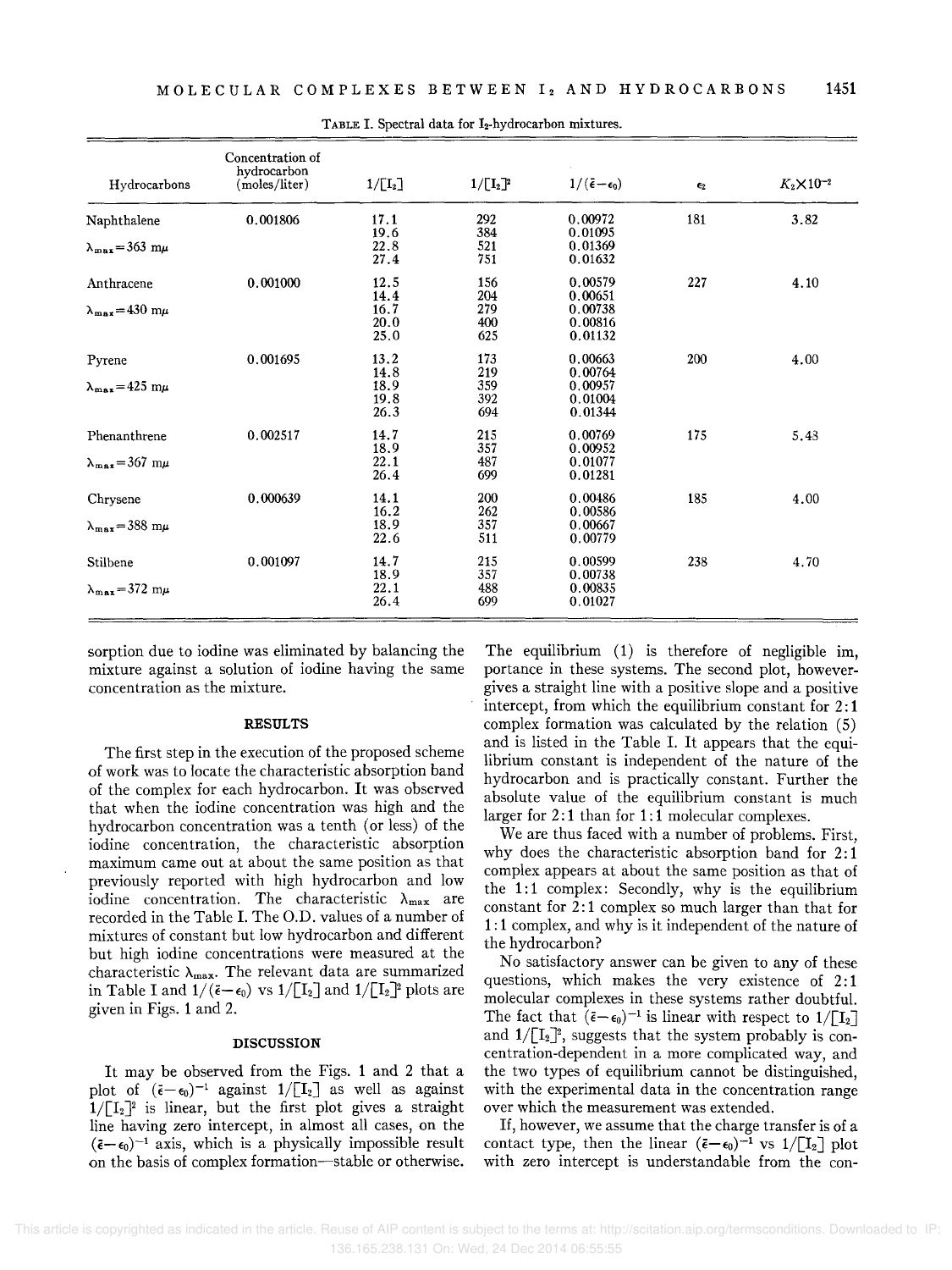| Hydrocarbons                              | Concentration of<br>hydrocarbon<br>(moles/liter) | $1/[I_2]$                    | $1/[\mathbf{I}_2]^2$     | $1/(\bar{\epsilon}-\epsilon_0)$          | $\epsilon_2$ | $K_2 \times 10^{-2}$ |
|-------------------------------------------|--------------------------------------------------|------------------------------|--------------------------|------------------------------------------|--------------|----------------------|
| Naphthalene                               | 0.001806                                         | 17.1<br>19.6                 | 292<br>384               | 0.00972<br>0.01095                       | 181          | 3.82                 |
| $\lambda_{\text{max}} = 363 \text{ m}\mu$ |                                                  | 22.8<br>27.4                 | 521<br>751               | 0.01369<br>0.01632                       |              |                      |
| Anthracene                                | 0.001000                                         | 12.5<br>14.4                 | 156<br>204               | 0.00579<br>0.00651                       | 227          | 4.10                 |
| $\lambda_{\text{max}} = 430 \text{ m}\mu$ |                                                  | 16.7<br>20.0<br>25.0         | 279<br>400<br>625        | 0.00738<br>0.00816<br>0.01132            |              |                      |
| Pyrene                                    | 0.001695                                         | 13.2                         | 173                      | 0.00663                                  | 200          | 4.00                 |
| $\lambda_{\text{max}} = 425 \text{ m}\mu$ |                                                  | 14.8<br>18.9<br>19.8<br>26.3 | 219<br>359<br>392<br>694 | 0.00764<br>0.00957<br>0.01004<br>0.01344 |              |                      |
| Phenanthrene                              | 0.002517                                         | 14.7                         | 215                      | 0.00769                                  | 175          | 5.48                 |
| $\lambda_{\text{max}} = 367 \text{ m}\mu$ |                                                  | 18.9<br>22.1<br>26.4         | 357<br>487<br>699        | 0.00952<br>0.01077<br>0.01281            |              |                      |
| Chrysene                                  | 0.000639                                         | 14.1<br>16.2                 | 200<br>262               | 0.00486<br>0.00586                       | 185          | 4.00                 |
| $\lambda_{\max} = 388$ m $\mu$            |                                                  | 18.9<br>22.6                 | 357<br>511               | 0.00667<br>0.00779                       |              |                      |
| Stilbene                                  | 0.001097                                         | 14.7                         | 215                      | 0.00599                                  | 238          | 4.70                 |
| $\lambda_{\text{max}} = 372 \text{ m}\mu$ |                                                  | 18.9<br>22.1<br>26.4         | 357<br>488<br>699        | 0.00738<br>0.00835<br>0.01027            |              |                      |

TABLE I. Spectral data for 12-hydrocarbon mixtures.

sorption due to iodine was eliminated by balancing the mixture against a solution of iodine having the same concentration as the mixture.

### **RESULTS**

The first step in the execution of the proposed scheme of work was to locate the characteristic absorption band of the complex for each hydrocarbon. It was observed that when the iodine concentration was high and the hydrocarbon concentration was a tenth (or less) of the iodine concentration, the characteristic absorption maximum came out at about the same position as that previously reported with high hydrocarbon and low iodine concentration. The characteristic  $\lambda_{\text{max}}$  are recorded in the Table I. The O.D. values of a number of mixtures of constant but low hydrocarbon and different but high iodine concentrations were measured at the characteristic  $\lambda_{\text{max}}$ . The relevant data are summarized in Table I and  $1/(\tilde{\epsilon}-\epsilon_0)$  vs  $1/[\![I_2]\!]$  and  $1/[\![I_2]\!]$ <sup>2</sup> plots are given in Figs. 1 and 2.

### **DISCUSSION**

It may be observed from the Figs. 1 and 2 that a plot of  $(\bar{\epsilon}-\epsilon_0)^{-1}$  against  $1/[\mathbf{I}_2]$  as well as against  $1/[\![T_2]\!]^2$  is linear, but the first plot gives a straight line having zero intercept, in almost all cases, on the  $(\bar{\epsilon}-\epsilon_0)^{-1}$  axis, which is a physically impossible result on the basis of complex formation-stable or otherwise.

The equilibrium (1) is therefore of negligible im, portance in these systems. The second plot, howevergives a straight line with a positive slope and a positive intercept, from which the equilibrium constant for 2: 1 complex formation was calculated by the relation (5) and is listed in the Table I. It appears that the equilibrium constant is independent of the nature of the hydrocarbon and is practically constant. Further the absolute value of the equilibrium constant is much larger for 2:1 than for 1:1 molecular complexes.

We are thus faced with a number of problems. First, why does the characteristic absorption band for 2: 1 complex appears at about the same position as that of the  $1:1$  complex: Secondly, why is the equilibrium constant for 2: 1 complex so much larger than that for 1: 1 complex, and why is it independent of the nature of the hydrocarbon?

No satisfactory answer can be given to any of these questions, which makes the very existence of 2:1 molecular complexes in these systems rather doubtful. The fact that  $(\tilde{\epsilon}-\epsilon_0)^{-1}$  is linear with respect to  $1/\lceil I_2 \rceil$ and  $1/[\![I_2]\!]^2$ , suggests that the system probably is concentration-dependent in a more complicated way, and the two types of equilibrium cannot be distinguished, with the experimental data in the concentration range over which the measurement was extended.

If, however, we assume that the charge transfer is of a contact type, then the linear  $(\bar{\epsilon}-\epsilon_0)^{-1}$  vs  $1/[\![1_2]\!]$  plot with zero intercept is understandable from the con-